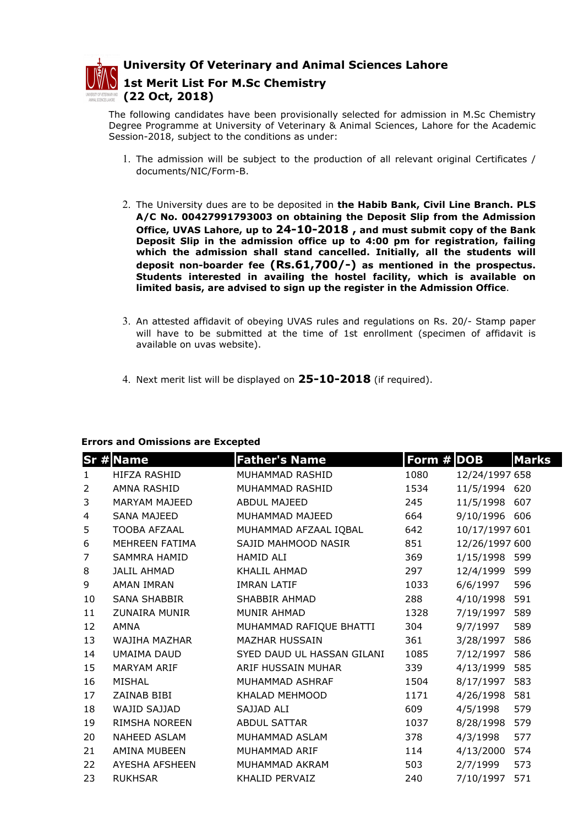

University Of Veterinary and Animal Sciences Lahore

1st Merit List For M.Sc Chemistry (22 Oct, 2018)

The following candidates have been provisionally selected for admission in M.Sc Chemistry Degree Programme at University of Veterinary & Animal Sciences, Lahore for the Academic Session-2018, subject to the conditions as under:

- 1. The admission will be subject to the production of all relevant original Certificates / documents/NIC/Form-B.
- 2. The University dues are to be deposited in the Habib Bank, Civil Line Branch. PLS A/C No. 00427991793003 on obtaining the Deposit Slip from the Admission Office, UVAS Lahore, up to 24-10-2018 , and must submit copy of the Bank Deposit Slip in the admission office up to 4:00 pm for registration, failing which the admission shall stand cancelled. Initially, all the students will deposit non-boarder fee (Rs.61,700/-) as mentioned in the prospectus. Students interested in availing the hostel facility, which is available on limited basis, are advised to sign up the register in the Admission Office.
- 3. An attested affidavit of obeying UVAS rules and regulations on Rs. 20/- Stamp paper will have to be submitted at the time of 1st enrollment (specimen of affidavit is available on uvas website).
- 4. Next merit list will be displayed on  $25-10-2018$  (if required).

## Errors and Omissions are Excepted

|                | <b>Sr # Name</b>     | <b>Father's Name</b>       | Form $#$ DOB |                | <b>Marks</b> |
|----------------|----------------------|----------------------------|--------------|----------------|--------------|
| $\mathbf{1}$   | HIFZA RASHID         | MUHAMMAD RASHID            | 1080         | 12/24/1997 658 |              |
| 2              | AMNA RASHID          | MUHAMMAD RASHID            | 1534         | 11/5/1994 620  |              |
| 3              | MARYAM MAJEED        | ABDUL MAJEED               | 245          | 11/5/1998 607  |              |
| 4              | <b>SANA MAJEED</b>   | MUHAMMAD MAJEED            | 664          | 9/10/1996 606  |              |
| 5              | <b>TOOBA AFZAAL</b>  | MUHAMMAD AFZAAL IQBAL      | 642          | 10/17/1997 601 |              |
| 6              | MEHREEN FATIMA       | SAJID MAHMOOD NASIR        | 851          | 12/26/1997 600 |              |
| $\overline{7}$ | SAMMRA HAMID         | HAMID ALI                  | 369          | 1/15/1998 599  |              |
| 8              | <b>JALIL AHMAD</b>   | KHALIL AHMAD               | 297          | 12/4/1999      | 599          |
| 9              | <b>AMAN IMRAN</b>    | <b>IMRAN LATIF</b>         | 1033         | 6/6/1997       | 596          |
| 10             | SANA SHABBIR         | SHABBIR AHMAD              | 288          | 4/10/1998      | 591          |
| 11             | <b>ZUNAIRA MUNIR</b> | <b>MUNIR AHMAD</b>         | 1328         | 7/19/1997      | 589          |
| 12             | AMNA                 | MUHAMMAD RAFIQUE BHATTI    | 304          | 9/7/1997       | 589          |
| 13             | WAJIHA MAZHAR        | <b>MAZHAR HUSSAIN</b>      | 361          | 3/28/1997      | 586          |
| 14             | UMAIMA DAUD          | SYED DAUD UL HASSAN GILANI | 1085         | 7/12/1997      | 586          |
| 15             | <b>MARYAM ARIF</b>   | ARIF HUSSAIN MUHAR         | 339          | 4/13/1999      | 585          |
| 16             | MISHAL               | MUHAMMAD ASHRAF            | 1504         | 8/17/1997      | 583          |
| 17             | ZAINAB BIBI          | KHALAD MEHMOOD             | 1171         | 4/26/1998      | 581          |
| 18             | WAJID SAJJAD         | SAJJAD ALI                 | 609          | 4/5/1998       | 579          |
| 19             | <b>RIMSHA NOREEN</b> | <b>ABDUL SATTAR</b>        | 1037         | 8/28/1998      | 579          |
| 20             | NAHEED ASLAM         | MUHAMMAD ASLAM             | 378          | 4/3/1998       | 577          |
| 21             | AMINA MUBEEN         | MUHAMMAD ARIF              | 114          | 4/13/2000      | 574          |
| 22             | AYESHA AFSHEEN       | MUHAMMAD AKRAM             | 503          | 2/7/1999       | 573          |
| 23             | <b>RUKHSAR</b>       | KHALID PERVAIZ             | 240          | 7/10/1997      | 571          |